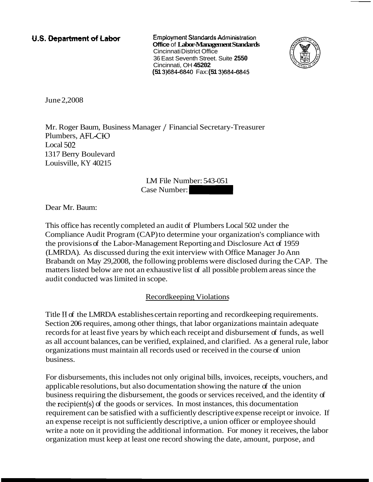## U.S. Department of Labor

**Employment Standards Administration Office** of **Labor-Management Standards**  Cincinnati District Office 36 East Seventh Street. Suite **2550**  Cincinnati, OH **45202 (51 3)684-6840 Fax: <b>(51 3)684-6845** 



June 2,2008

Mr. Roger Baum, Business Manager / Financial Secretary-Treasurer Plumbers, AFL-CIO Local 502 1317 Berry Boulevard Louisville, KY 40215 Cincinnati, OH 45202<br>
(51 3)684-6840 Fax: (51 3)684-6845<br>
anager / Financial Secretary-Treasurer<br>
IM File Number: 543-051<br>
Case Number:

LM File Number: 543-051

Dear Mr. Baum:

This office has recently completed an audit of Plumbers Local 502 under the Compliance Audit Program (CAP) to determine your organization's compliance with the provisions of the Labor-Management Reporting and Disclosure Act of 1959 (LMRDA). As discussed during the exit interview with Office Manager Jo Ann Brabandt on May 29,2008, the following problems were disclosed during the CAP. The matters listed below are not an exhaustive list of all possible problem areas since the audit conducted was limited in scope.

## Recordkeeping Violations

Title I1 of the LMRDA establishes certain reporting and recordkeeping requirements. Section 206 requires, among other things, that labor organizations maintain adequate records for at least five years by which each receipt and disbursement of funds, as well as all account balances, can be verified, explained, and clarified. As a general rule, labor organizations must maintain all records used or received in the course of union business.

For disbursements, this includes not only original bills, invoices, receipts, vouchers, and applicable resolutions, but also documentation showing the nature of the union business requiring the disbursement, the goods or services received, and the identity of the recipient(s) of the goods or services. In most instances, this documentation requirement can be satisfied with a sufficiently descriptive expense receipt or invoice. If an expense receipt is not sufficiently descriptive, a union officer or employee should write a note on it providing the additional information. For money it receives, the labor organization must keep at least one record showing the date, amount, purpose, and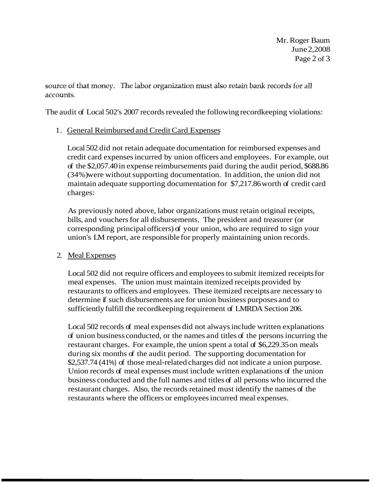Mr. Roger Baum June 2,2008 Page 2 of 3

source of that money. The labor organization must also retain bank records for all accounts.

The audit of Local 502's 2007 records revealed the following recordkeeping violations:

## 1. General Reimbursed and Credit Card Expenses

Local 502 did not retain adequate documentation for reimbursed expenses and credit card expenses incurred by union officers and employees. For example, out of the \$2,057.40 in expense reimbursements paid during the audit period, \$688.86 (34%) were without supporting documentation. In addition, the union did not maintain adequate supporting documentation for \$7,217.86 worth of credit card charges:

As previously noted above, labor organizations must retain original receipts, bills, and vouchers for all disbursements. The president and treasurer (or corresponding principal officers) of your union, who are required to sign your union's LM report, are responsible for properly maintaining union records.

## 2. Meal Expenses

Local 502 did not require officers and employees to submit itemized receipts for meal expenses. The union must maintain itemized receipts provided by restaurants to officers and employees. These itemized receipts are necessary to determine if such disbursements are for union business purposes and to sufficiently fulfill the recordkeeping requirement of LMRDA Section 206.

Local 502 records of meal expenses did not always include written explanations of union business conducted, or the names and titles of the persons incurring the restaurant charges. For example, the union spent a total of \$6,229.35 on meals during six months of the audit period. The supporting documentation for \$2,537.74 (41%) of those meal-related charges did not indicate a union purpose. Union records of meal expenses must include written explanations of the union business conducted and the full names and titles of all persons who incurred the restaurant charges. Also, the records retained must identify the names of the restaurants where the officers or employees incurred meal expenses.